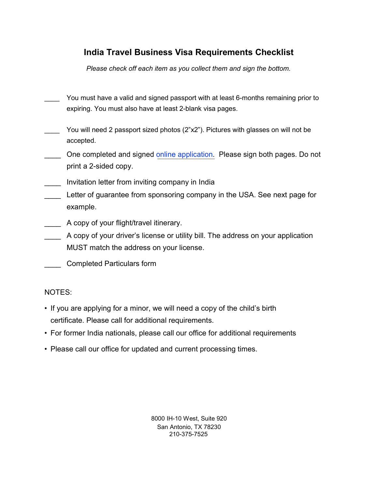## India Travel Business Visa Requirements Checklist

Please check off each item as you collect them and sign the bottom.

- You must have a valid and signed passport with at least 6-months remaining prior to expiring. You must also have at least 2-blank visa pages.
- You will need 2 passport sized photos (2"x2"). Pictures with glasses on will not be accepted.
- One completed and signed online application. Please sign both pages. Do not print a 2-sided copy.
- \_\_\_\_ Invitation letter from inviting company in India
- Letter of guarantee from sponsoring company in the USA. See next page for example.
- \_\_\_\_ A copy of your flight/travel itinerary.
- \_\_\_\_ A copy of your driver's license or utility bill. The address on your application MUST match the address on your license.
- \_\_\_\_ Completed Particulars form

#### NOTES:

- If you are applying for a minor, we will need a copy of the child's birth certificate. Please call for additional requirements.
- For former India nationals, please call our office for additional requirements
- Please call our office for updated and current processing times.

8000 IH-10 West, Suite 920 San Antonio, TX 78230 210-375-7525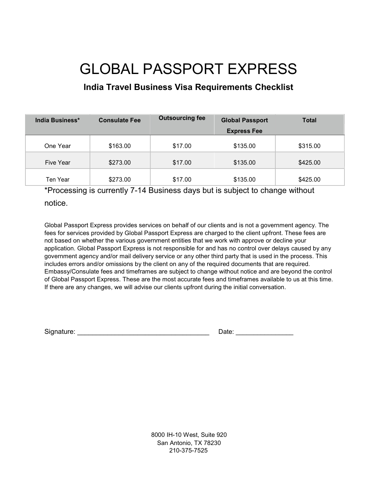# GLOBAL PASSPORT EXPRESS

## India Travel Business Visa Requirements Checklist

| India Business*  | <b>Consulate Fee</b> | <b>Outsourcing fee</b> | <b>Global Passport</b> | <b>Total</b> |
|------------------|----------------------|------------------------|------------------------|--------------|
|                  |                      |                        | <b>Express Fee</b>     |              |
| One Year         | \$163.00             | \$17.00                | \$135.00               | \$315.00     |
| <b>Five Year</b> | \$273.00             | \$17.00                | \$135.00               | \$425.00     |
| Ten Year         | \$273.00             | \$17.00                | \$135.00               | \$425.00     |

\*Processing is currently 7-14 Business days but is subject to change without notice.

Global Passport Express provides services on behalf of our clients and is not a government agency. The fees for services provided by Global Passport Express are charged to the client upfront. These fees are not based on whether the various government entities that we work with approve or decline your application. Global Passport Express is not responsible for and has no control over delays caused by any government agency and/or mail delivery service or any other third party that is used in the process. This includes errors and/or omissions by the client on any of the required documents that are required. Embassy/Consulate fees and timeframes are subject to change without notice and are beyond the control of Global Passport Express. These are the most accurate fees and timeframes available to us at this time. If there are any changes, we will advise our clients upfront during the initial conversation.

Signature: \_\_\_\_\_\_\_\_\_\_\_\_\_\_\_\_\_\_\_\_\_\_\_\_\_\_\_\_\_\_\_\_\_\_\_ Date: \_\_\_\_\_\_\_\_\_\_\_\_\_\_\_\_

8000 IH-10 West, Suite 920 San Antonio, TX 78230 210-375-7525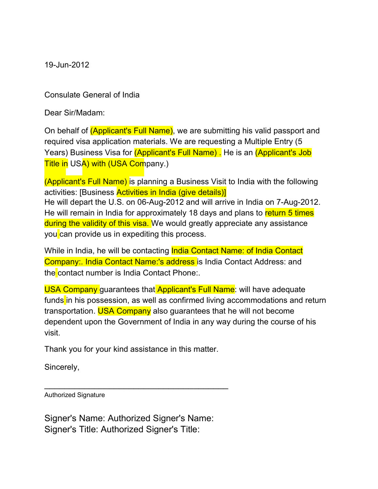19-Jun-2012

Consulate General of India

Dear Sir/Madam:

On behalf of *(Applicant's Full Name)*, we are submitting his valid passport and required visa application materials. We are requesting a Multiple Entry (5 Years) Business Visa for (Applicant's Full Name). He is an (Applicant's Job Title in USA) with (USA Company.)

(Applicant's Full Name) is planning a Business Visit to India with the following activities: [Business Activities in India (give details)] He will depart the U.S. on 06-Aug-2012 and will arrive in India on 7-Aug-2012. He will remain in India for approximately 18 days and plans to return 5 times during the validity of this visa. We would greatly appreciate any assistance you can provide us in expediting this process.

While in India, he will be contacting **India Contact Name: of India Contact** Company:. India Contact Name:'s address is India Contact Address: and the contact number is India Contact Phone:.

USA Company quarantees that Applicant's Full Name: will have adequate funds in his possession, as well as confirmed living accommodations and return transportation. USA Company also guarantees that he will not become dependent upon the Government of India in any way during the course of his visit.

Thank you for your kind assistance in this matter.

\_\_\_\_\_\_\_\_\_\_\_\_\_\_\_\_\_\_\_\_\_\_\_\_\_\_\_\_\_\_\_\_\_\_\_\_\_

Sincerely,

Authorized Signature

Signer's Name: Authorized Signer's Name: Signer's Title: Authorized Signer's Title: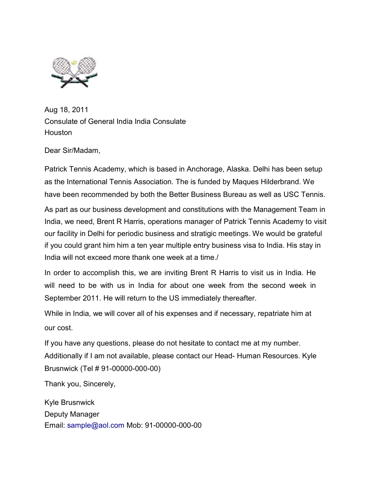

Aug 18, 2011 Consulate of General India India Consulate **Houston** 

Dear Sir/Madam,

Patrick Tennis Academy, which is based in Anchorage, Alaska. Delhi has been setup as the International Tennis Association. The is funded by Maques Hilderbrand. We have been recommended by both the Better Business Bureau as well as USC Tennis.

As part as our business development and constitutions with the Management Team in India, we need, Brent R Harris, operations manager of Patrick Tennis Academy to visit our facility in Delhi for periodic business and stratigic meetings. We would be grateful if you could grant him him a ten year multiple entry business visa to India. His stay in India will not exceed more thank one week at a time./

In order to accomplish this, we are inviting Brent R Harris to visit us in India. He will need to be with us in India for about one week from the second week in September 2011. He will return to the US immediately thereafter.

While in India, we will cover all of his expenses and if necessary, repatriate him at our cost.

If you have any questions, please do not hesitate to contact me at my number. Additionally if I am not available, please contact our Head- Human Resources. Kyle Brusnwick (Tel # 91-00000-000-00)

Thank you, Sincerely,

Kyle Brusnwick Deputy Manager Email: sample@aol.com Mob: 91-00000-000-00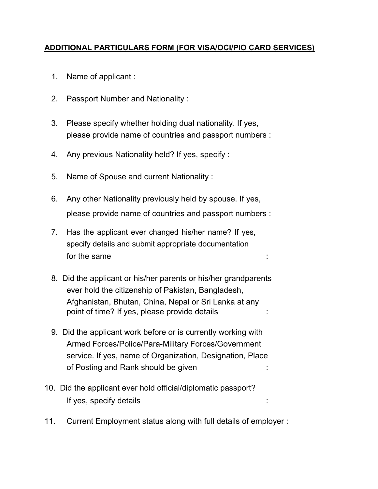#### ADDITIONAL PARTICULARS FORM (FOR VISA/OCI/PIO CARD SERVICES)

- 1. Name of applicant :
- 2. Passport Number and Nationality :
- 3. Please specify whether holding dual nationality. If yes, please provide name of countries and passport numbers :
- 4. Any previous Nationality held? If yes, specify :
- 5. Name of Spouse and current Nationality :
- 6. Any other Nationality previously held by spouse. If yes, please provide name of countries and passport numbers :
- 7. Has the applicant ever changed his/her name? If yes, specify details and submit appropriate documentation for the same in the same in the same in the same in the same in the same in the same in the same in the same in the same in the same in the same in the same in the same in the same in the same in the same in the same in th
- 8. Did the applicant or his/her parents or his/her grandparents ever hold the citizenship of Pakistan, Bangladesh, Afghanistan, Bhutan, China, Nepal or Sri Lanka at any point of time? If yes, please provide details :
- 9. Did the applicant work before or is currently working with Armed Forces/Police/Para-Military Forces/Government service. If yes, name of Organization, Designation, Place of Posting and Rank should be given :
- 10. Did the applicant ever hold official/diplomatic passport? If yes, specify details :
- 11. Current Employment status along with full details of employer :